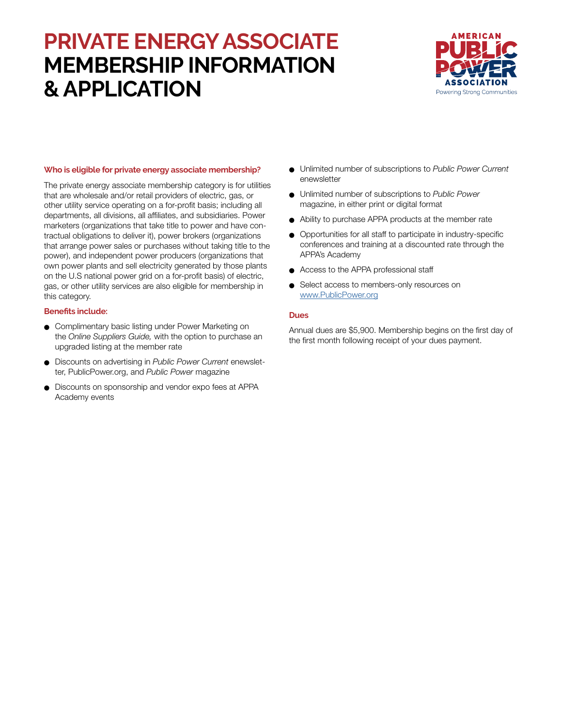# **PRIVATE ENERGY ASSOCIATE MEMBERSHIP INFORMATION & APPLICATION**



### **Who is eligible for private energy associate membership?**

The private energy associate membership category is for utilities that are wholesale and/or retail providers of electric, gas, or other utility service operating on a for-profit basis; including all departments, all divisions, all affiliates, and subsidiaries. Power marketers (organizations that take title to power and have contractual obligations to deliver it), power brokers (organizations that arrange power sales or purchases without taking title to the power), and independent power producers (organizations that own power plants and sell electricity generated by those plants on the U.S national power grid on a for-profit basis) of electric, gas, or other utility services are also eligible for membership in this category.

### **Benefits include:**

- **Complimentary basic listing under Power Marketing on** the *Online Suppliers Guide,* with the option to purchase an upgraded listing at the member rate
- **.** Discounts on advertising in *Public Power Current* enewsletter, PublicPower.org, and *Public Power* magazine
- Discounts on sponsorship and vendor expo fees at APPA Academy events
- <sup>l</sup> Unlimited number of subscriptions to *Public Power Current* enewsletter
- <sup>l</sup> Unlimited number of subscriptions to *Public Power*  magazine, in either print or digital format
- Ability to purchase APPA products at the member rate
- Opportunities for all staff to participate in industry-specific conferences and training at a discounted rate through the APPA's Academy
- **e** Access to the APPA professional staff
- Select access to members-only resources on [www.PublicPower.org](https://www.publicpower.org/)

### **Dues**

Annual dues are \$5,900. Membership begins on the first day of the first month following receipt of your dues payment.